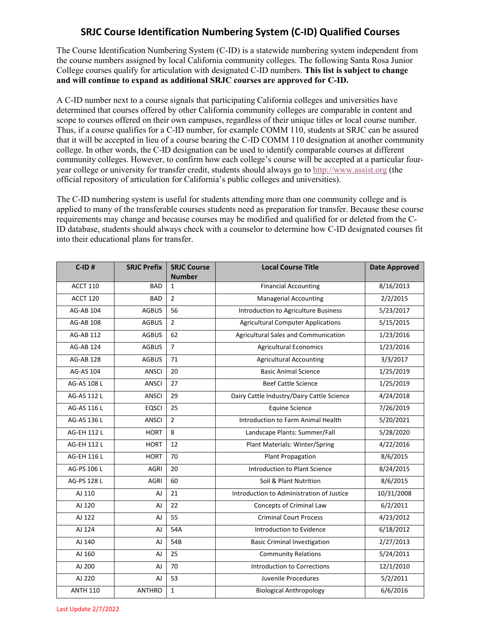## **SRJC Course Identification Numbering System (C-ID) Qualified Courses**

The Course Identification Numbering System (C-ID) is a statewide numbering system independent from the course numbers assigned by local California community colleges. The following Santa Rosa Junior College courses qualify for articulation with designated C-ID numbers. **This list is subject to change and will continue to expand as additional SRJC courses are approved for C-ID.** 

A C-ID number next to a course signals that participating California colleges and universities have determined that courses offered by other California community colleges are comparable in content and scope to courses offered on their own campuses, regardless of their unique titles or local course number. Thus, if a course qualifies for a C-ID number, for example COMM 110, students at SRJC can be assured that it will be accepted in lieu of a course bearing the C-ID COMM 110 designation at another community college. In other words, the C-ID designation can be used to identify comparable courses at different community colleges. However, to confirm how each college's course will be accepted at a particular fouryear college or university for transfer credit, students should always go to [h](http://www.assist.org/)[ttp://www.assist.org](http://www.assist.org)(the official repository of articulation for California's public colleges and universities).

The C-ID numbering system is useful for students attending more than one community college and is applied to many of the transferable courses students need as preparation for transfer. Because these course requirements may change and because courses may be modified and qualified for or deleted from the C-ID database, students should always check with a counselor to determine how C-ID designated courses fit into their educational plans for transfer.

| $C$ -ID#         | <b>SRJC Prefix</b> | <b>SRJC Course</b> | <b>Local Course Title</b>                  | <b>Date Approved</b> |
|------------------|--------------------|--------------------|--------------------------------------------|----------------------|
|                  |                    | <b>Number</b>      |                                            |                      |
| <b>ACCT 110</b>  | <b>BAD</b>         | $\mathbf{1}$       | <b>Financial Accounting</b>                | 8/16/2013            |
| ACCT 120         | <b>BAD</b>         | $\overline{2}$     | <b>Managerial Accounting</b>               | 2/2/2015             |
| AG-AB 104        | <b>AGBUS</b>       | 56                 | Introduction to Agriculture Business       | 5/23/2017            |
| AG-AB 108        | <b>AGBUS</b>       | $\overline{2}$     | <b>Agricultural Computer Applications</b>  | 5/15/2015            |
| <b>AG-AB 112</b> | <b>AGBUS</b>       | 62                 | Agricultural Sales and Communication       | 1/23/2016            |
| AG-AB 124        | <b>AGBUS</b>       | $\overline{7}$     | <b>Agricultural Economics</b>              | 1/23/2016            |
| <b>AG-AB 128</b> | <b>AGBUS</b>       | 71                 | <b>Agricultural Accounting</b>             | 3/3/2017             |
| <b>AG-AS 104</b> | <b>ANSCI</b>       | 20                 | <b>Basic Animal Science</b>                | 1/25/2019            |
| AG-AS 108 L      | <b>ANSCI</b>       | 27                 | <b>Beef Cattle Science</b>                 | 1/25/2019            |
| AG-AS 112 L      | ANSCI              | 29                 | Dairy Cattle Industry/Dairy Cattle Science | 4/24/2018            |
| AG-AS 116 L      | <b>EQSCI</b>       | 25                 | <b>Equine Science</b>                      | 7/26/2019            |
| AG-AS 136 L      | <b>ANSCI</b>       | $\overline{2}$     | Introduction to Farm Animal Health         | 5/20/2021            |
| AG-EH 112 L      | <b>HORT</b>        | 8                  | Landscape Plants: Summer/Fall              | 5/28/2020            |
| AG-EH 112 L      | <b>HORT</b>        | 12                 | Plant Materials: Winter/Spring             | 4/22/2016            |
| AG-EH 116 L      | <b>HORT</b>        | 70                 | <b>Plant Propagation</b>                   | 8/6/2015             |
| AG-PS 106 L      | <b>AGRI</b>        | 20                 | <b>Introduction to Plant Science</b>       | 8/24/2015            |
| AG-PS 128 L      | <b>AGRI</b>        | 60                 | Soil & Plant Nutrition                     | 8/6/2015             |
| AJ 110           | <b>AJ</b>          | 21                 | Introduction to Administration of Justice  | 10/31/2008           |
| AJ 120           | <b>AJ</b>          | 22                 | <b>Concepts of Criminal Law</b>            | 6/2/2011             |
| AJ 122           | AJ                 | 55                 | <b>Criminal Court Process</b>              | 4/23/2012            |
| AJ 124           | <b>AJ</b>          | 54A                | Introduction to Evidence                   | 6/18/2012            |
| AJ 140           | <b>AJ</b>          | 54B                | <b>Basic Criminal Investigation</b>        | 2/27/2013            |
| AJ 160           | <b>AJ</b>          | 25                 | <b>Community Relations</b>                 | 5/24/2011            |
| AJ 200           | <b>AJ</b>          | 70                 | <b>Introduction to Corrections</b>         | 12/1/2010            |
| AJ 220           | <b>AJ</b>          | 53                 | Juvenile Procedures                        | 5/2/2011             |
| <b>ANTH 110</b>  | <b>ANTHRO</b>      | $\mathbf{1}$       | <b>Biological Anthropology</b>             | 6/6/2016             |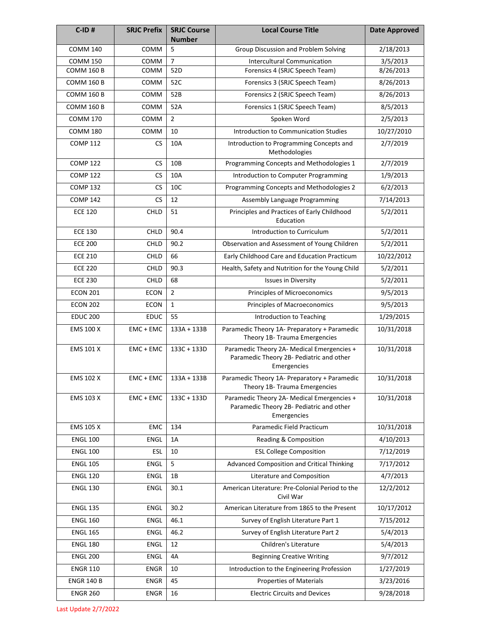| $C$ -ID#          | <b>SRJC Prefix</b> | <b>SRJC Course</b><br><b>Number</b> | <b>Local Course Title</b>                                                                             | <b>Date Approved</b> |
|-------------------|--------------------|-------------------------------------|-------------------------------------------------------------------------------------------------------|----------------------|
| <b>COMM 140</b>   | COMM               | 5                                   | Group Discussion and Problem Solving                                                                  | 2/18/2013            |
| <b>COMM 150</b>   | COMM               | $\overline{7}$                      | <b>Intercultural Communication</b>                                                                    | 3/5/2013             |
| <b>COMM 160 B</b> | COMM               | 52D                                 | Forensics 4 (SRJC Speech Team)                                                                        | 8/26/2013            |
| <b>COMM 160 B</b> | COMM               | 52C                                 | Forensics 3 (SRJC Speech Team)                                                                        | 8/26/2013            |
| <b>COMM 160 B</b> | COMM               | 52B                                 | Forensics 2 (SRJC Speech Team)                                                                        | 8/26/2013            |
| <b>COMM 160 B</b> | COMM               | 52A                                 | Forensics 1 (SRJC Speech Team)                                                                        | 8/5/2013             |
| <b>COMM 170</b>   | COMM               | $\overline{2}$                      | Spoken Word                                                                                           | 2/5/2013             |
| <b>COMM 180</b>   | COMM               | 10                                  | Introduction to Communication Studies                                                                 | 10/27/2010           |
| <b>COMP 112</b>   | <b>CS</b>          | 10A                                 | Introduction to Programming Concepts and<br>Methodologies                                             | 2/7/2019             |
| <b>COMP 122</b>   | <b>CS</b>          | 10B                                 | Programming Concepts and Methodologies 1                                                              | 2/7/2019             |
| <b>COMP 122</b>   | CS                 | 10A                                 | Introduction to Computer Programming                                                                  | 1/9/2013             |
| <b>COMP 132</b>   | CS                 | 10C                                 | Programming Concepts and Methodologies 2                                                              | 6/2/2013             |
| <b>COMP 142</b>   | <b>CS</b>          | 12                                  | Assembly Language Programming                                                                         | 7/14/2013            |
| <b>ECE 120</b>    | <b>CHLD</b>        | 51                                  | Principles and Practices of Early Childhood<br>Education                                              | 5/2/2011             |
| <b>ECE 130</b>    | CHLD               | 90.4                                | Introduction to Curriculum                                                                            | 5/2/2011             |
| <b>ECE 200</b>    | CHLD               | 90.2                                | Observation and Assessment of Young Children                                                          | 5/2/2011             |
| <b>ECE 210</b>    | CHLD               | 66                                  | Early Childhood Care and Education Practicum                                                          | 10/22/2012           |
| <b>ECE 220</b>    | <b>CHLD</b>        | 90.3                                | Health, Safety and Nutrition for the Young Child                                                      | 5/2/2011             |
| <b>ECE 230</b>    | CHLD               | 68                                  | <b>Issues in Diversity</b>                                                                            | 5/2/2011             |
| <b>ECON 201</b>   | <b>ECON</b>        | $\overline{2}$                      | Principles of Microeconomics                                                                          | 9/5/2013             |
| <b>ECON 202</b>   | <b>ECON</b>        | $\mathbf{1}$                        | Principles of Macroeconomics                                                                          | 9/5/2013             |
| <b>EDUC 200</b>   | <b>EDUC</b>        | 55                                  | Introduction to Teaching                                                                              | 1/29/2015            |
| <b>EMS 100 X</b>  | EMC + EMC          | $133A + 133B$                       | Paramedic Theory 1A- Preparatory + Paramedic<br>Theory 1B- Trauma Emergencies                         | 10/31/2018           |
| <b>EMS 101 X</b>  | $EMC + EMC$        | $133C + 133D$                       | Paramedic Theory 2A- Medical Emergencies +<br>Paramedic Theory 2B- Pediatric and other<br>Emergencies | 10/31/2018           |
| <b>EMS 102 X</b>  | EMC + EMC          | $133A + 133B$                       | Paramedic Theory 1A- Preparatory + Paramedic<br>Theory 1B- Trauma Emergencies                         | 10/31/2018           |
| EMS 103 X         | $EMC + EMC$        | 133C + 133D                         | Paramedic Theory 2A- Medical Emergencies +<br>Paramedic Theory 2B- Pediatric and other<br>Emergencies | 10/31/2018           |
| EMS 105 X         | <b>EMC</b>         | 134                                 | Paramedic Field Practicum                                                                             | 10/31/2018           |
| <b>ENGL 100</b>   | <b>ENGL</b>        | 1A                                  | Reading & Composition                                                                                 | 4/10/2013            |
| <b>ENGL 100</b>   | ESL                | 10                                  | <b>ESL College Composition</b>                                                                        | 7/12/2019            |
| <b>ENGL 105</b>   | <b>ENGL</b>        | 5                                   | Advanced Composition and Critical Thinking                                                            | 7/17/2012            |
| <b>ENGL 120</b>   | <b>ENGL</b>        | 1B                                  | Literature and Composition                                                                            | 4/7/2013             |
| <b>ENGL 130</b>   | <b>ENGL</b>        | 30.1                                | American Literature: Pre-Colonial Period to the<br>Civil War                                          | 12/2/2012            |
| <b>ENGL 135</b>   | <b>ENGL</b>        | 30.2                                | American Literature from 1865 to the Present                                                          | 10/17/2012           |
| <b>ENGL 160</b>   | <b>ENGL</b>        | 46.1                                | Survey of English Literature Part 1                                                                   | 7/15/2012            |
| <b>ENGL 165</b>   | <b>ENGL</b>        | 46.2                                | Survey of English Literature Part 2                                                                   | 5/4/2013             |
| <b>ENGL 180</b>   | <b>ENGL</b>        | 12                                  | Children's Literature                                                                                 | 5/4/2013             |
| <b>ENGL 200</b>   | <b>ENGL</b>        | 4A                                  | <b>Beginning Creative Writing</b>                                                                     | 9/7/2012             |
| <b>ENGR 110</b>   | <b>ENGR</b>        | 10                                  | Introduction to the Engineering Profession                                                            | 1/27/2019            |
| <b>ENGR 140 B</b> | <b>ENGR</b>        | 45                                  | <b>Properties of Materials</b>                                                                        | 3/23/2016            |
| <b>ENGR 260</b>   | <b>ENGR</b>        | 16                                  | <b>Electric Circuits and Devices</b>                                                                  | 9/28/2018            |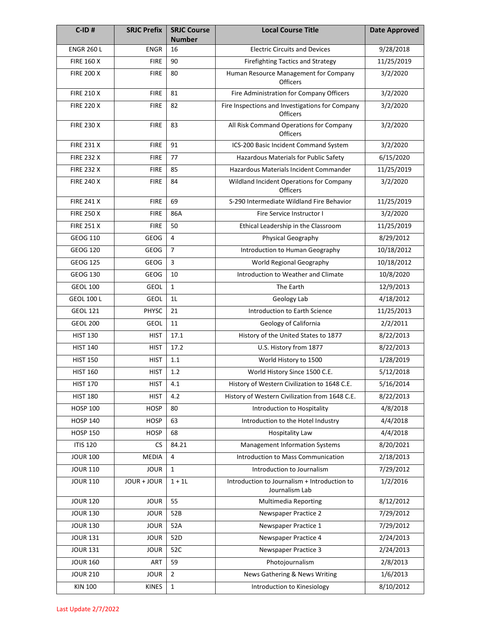| $C$ -ID#          | <b>SRJC Prefix</b> | <b>SRJC Course</b><br><b>Number</b> | <b>Local Course Title</b>                                          | <b>Date Approved</b> |
|-------------------|--------------------|-------------------------------------|--------------------------------------------------------------------|----------------------|
| <b>ENGR 260 L</b> | <b>ENGR</b>        | 16                                  | <b>Electric Circuits and Devices</b>                               | 9/28/2018            |
| <b>FIRE 160 X</b> | <b>FIRE</b>        | 90                                  | <b>Firefighting Tactics and Strategy</b>                           | 11/25/2019           |
| <b>FIRE 200 X</b> | <b>FIRE</b>        | 80                                  | Human Resource Management for Company<br>Officers                  | 3/2/2020             |
| <b>FIRE 210 X</b> | <b>FIRE</b>        | 81                                  | Fire Administration for Company Officers                           | 3/2/2020             |
| <b>FIRE 220 X</b> | <b>FIRE</b>        | 82                                  | Fire Inspections and Investigations for Company<br><b>Officers</b> | 3/2/2020             |
| <b>FIRE 230 X</b> | <b>FIRE</b>        | 83                                  | All Risk Command Operations for Company<br>Officers                | 3/2/2020             |
| <b>FIRE 231 X</b> | <b>FIRE</b>        | 91                                  | ICS-200 Basic Incident Command System                              | $\frac{1}{3}/2/2020$ |
| <b>FIRE 232 X</b> | <b>FIRE</b>        | 77                                  | Hazardous Materials for Public Safety                              | 6/15/2020            |
| <b>FIRE 232 X</b> | <b>FIRE</b>        | 85                                  | <b>Hazardous Materials Incident Commander</b>                      | 11/25/2019           |
| <b>FIRE 240 X</b> | <b>FIRE</b>        | 84                                  | Wildland Incident Operations for Company<br><b>Officers</b>        | 3/2/2020             |
| <b>FIRE 241 X</b> | <b>FIRE</b>        | 69                                  | S-290 Intermediate Wildland Fire Behavior                          | 11/25/2019           |
| <b>FIRE 250 X</b> | <b>FIRE</b>        | 86A                                 | Fire Service Instructor I                                          | 3/2/2020             |
| <b>FIRE 251 X</b> | <b>FIRE</b>        | 50                                  | Ethical Leadership in the Classroom                                | 11/25/2019           |
| <b>GEOG 110</b>   | <b>GEOG</b>        | 4                                   | Physical Geography                                                 | 8/29/2012            |
| <b>GEOG 120</b>   | <b>GEOG</b>        | $\overline{7}$                      | Introduction to Human Geography                                    | 10/18/2012           |
| <b>GEOG 125</b>   | <b>GEOG</b>        | 3                                   | World Regional Geography                                           | 10/18/2012           |
| <b>GEOG 130</b>   | <b>GEOG</b>        | 10                                  | Introduction to Weather and Climate                                | 10/8/2020            |
| <b>GEOL 100</b>   | <b>GEOL</b>        | $\mathbf{1}$                        | The Earth                                                          | 12/9/2013            |
| <b>GEOL 100 L</b> | <b>GEOL</b>        | 1L                                  | Geology Lab                                                        | 4/18/2012            |
| <b>GEOL 121</b>   | PHYSC              | 21                                  | Introduction to Earth Science                                      | 11/25/2013           |
| <b>GEOL 200</b>   | <b>GEOL</b>        | 11                                  | Geology of California                                              | 2/2/2011             |
| <b>HIST 130</b>   | <b>HIST</b>        | 17.1                                | History of the United States to 1877                               | 8/22/2013            |
| <b>HIST 140</b>   | <b>HIST</b>        | 17.2                                | U.S. History from 1877                                             | 8/22/2013            |
| <b>HIST 150</b>   | <b>HIST</b>        | 1.1                                 | World History to 1500                                              | 1/28/2019            |
| <b>HIST 160</b>   | <b>HIST</b>        | 1.2                                 | World History Since 1500 C.E.                                      | 5/12/2018            |
| <b>HIST 170</b>   | <b>HIST</b>        | 4.1                                 | History of Western Civilization to 1648 C.E.                       | 5/16/2014            |
| <b>HIST 180</b>   | <b>HIST</b>        | 4.2                                 | History of Western Civilization from 1648 C.E.                     | 8/22/2013            |
| <b>HOSP 100</b>   | <b>HOSP</b>        | 80                                  | Introduction to Hospitality                                        | 4/8/2018             |
| <b>HOSP 140</b>   | <b>HOSP</b>        | 63                                  | Introduction to the Hotel Industry                                 | 4/4/2018             |
| <b>HOSP 150</b>   | <b>HOSP</b>        | 68                                  | <b>Hospitality Law</b>                                             | 4/4/2018             |
| <b>ITIS 120</b>   | <b>CS</b>          | 84.21                               | <b>Management Information Systems</b>                              | 8/20/2021            |
| <b>JOUR 100</b>   | <b>MEDIA</b>       | 4                                   | Introduction to Mass Communication                                 | 2/18/2013            |
| <b>JOUR 110</b>   | <b>JOUR</b>        | $\mathbf{1}$                        | Introduction to Journalism                                         | 7/29/2012            |
| <b>JOUR 110</b>   | JOUR + JOUR        | $1 + 11$                            | Introduction to Journalism + Introduction to<br>Journalism Lab     | 1/2/2016             |
| <b>JOUR 120</b>   | <b>JOUR</b>        | 55                                  | <b>Multimedia Reporting</b>                                        | 8/12/2012            |
| <b>JOUR 130</b>   | <b>JOUR</b>        | 52B                                 | Newspaper Practice 2                                               | 7/29/2012            |
| <b>JOUR 130</b>   | <b>JOUR</b>        | 52A                                 | Newspaper Practice 1                                               | 7/29/2012            |
| <b>JOUR 131</b>   | <b>JOUR</b>        | 52D                                 | Newspaper Practice 4                                               | 2/24/2013            |
| <b>JOUR 131</b>   | <b>JOUR</b>        | 52C                                 | Newspaper Practice 3                                               | 2/24/2013            |
| <b>JOUR 160</b>   | ART                | 59                                  | Photojournalism                                                    | 2/8/2013             |
| <b>JOUR 210</b>   | <b>JOUR</b>        | $\overline{2}$                      | News Gathering & News Writing                                      | 1/6/2013             |
| <b>KIN 100</b>    | <b>KINES</b>       | $\mathbf{1}$                        | Introduction to Kinesiology                                        | 8/10/2012            |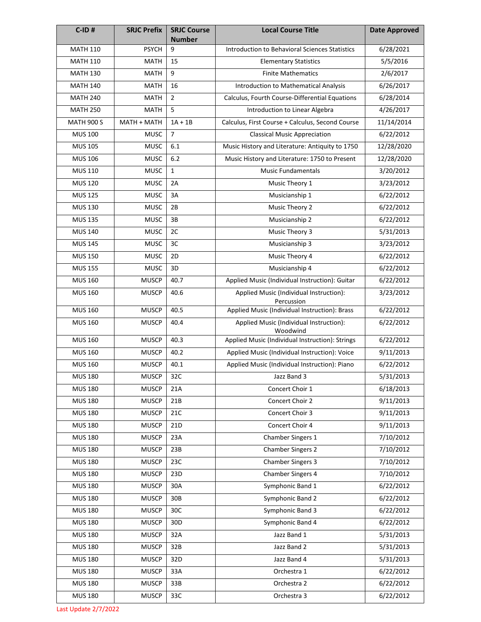| $C$ -ID#          | <b>SRJC Prefix</b> | <b>SRJC Course</b><br><b>Number</b> | <b>Local Course Title</b>                             | <b>Date Approved</b> |
|-------------------|--------------------|-------------------------------------|-------------------------------------------------------|----------------------|
| <b>MATH 110</b>   | <b>PSYCH</b>       | 9                                   | Introduction to Behavioral Sciences Statistics        | 6/28/2021            |
| <b>MATH 110</b>   | <b>MATH</b>        | 15                                  | <b>Elementary Statistics</b>                          | 5/5/2016             |
| <b>MATH 130</b>   | <b>MATH</b>        | 9                                   | <b>Finite Mathematics</b>                             | 2/6/2017             |
| <b>MATH 140</b>   | <b>MATH</b>        | 16                                  | Introduction to Mathematical Analysis                 | 6/26/2017            |
| <b>MATH 240</b>   | <b>MATH</b>        | $\overline{2}$                      | Calculus, Fourth Course-Differential Equations        | 6/28/2014            |
| <b>MATH 250</b>   | <b>MATH</b>        | 5                                   | Introduction to Linear Algebra                        | 4/26/2017            |
| <b>MATH 900 S</b> | MATH + MATH        | $1A + 1B$                           | Calculus, First Course + Calculus, Second Course      | 11/14/2014           |
| <b>MUS 100</b>    | <b>MUSC</b>        | $\overline{7}$                      | <b>Classical Music Appreciation</b>                   | 6/22/2012            |
| <b>MUS 105</b>    | <b>MUSC</b>        | 6.1                                 | Music History and Literature: Antiquity to 1750       | 12/28/2020           |
| <b>MUS 106</b>    | <b>MUSC</b>        | 6.2                                 | Music History and Literature: 1750 to Present         | 12/28/2020           |
| MUS 110           | <b>MUSC</b>        | $\mathbf{1}$                        | <b>Music Fundamentals</b>                             | 3/20/2012            |
| <b>MUS 120</b>    | <b>MUSC</b>        | 2A                                  | Music Theory 1                                        | 3/23/2012            |
| <b>MUS 125</b>    | <b>MUSC</b>        | 3A                                  | Musicianship 1                                        | 6/22/2012            |
| <b>MUS 130</b>    | <b>MUSC</b>        | 2B                                  | Music Theory 2                                        | 6/22/2012            |
| <b>MUS 135</b>    | <b>MUSC</b>        | 3B                                  | Musicianship 2                                        | 6/22/2012            |
| <b>MUS 140</b>    | <b>MUSC</b>        | 2C                                  | Music Theory 3                                        | 5/31/2013            |
| <b>MUS 145</b>    | <b>MUSC</b>        | 3C                                  | Musicianship 3                                        | 3/23/2012            |
| <b>MUS 150</b>    | <b>MUSC</b>        | 2D                                  | Music Theory 4                                        | 6/22/2012            |
| <b>MUS 155</b>    | <b>MUSC</b>        | 3D                                  | Musicianship 4                                        | 6/22/2012            |
| <b>MUS 160</b>    | <b>MUSCP</b>       | 40.7                                | Applied Music (Individual Instruction): Guitar        | 6/22/2012            |
| <b>MUS 160</b>    | <b>MUSCP</b>       | 40.6                                | Applied Music (Individual Instruction):<br>Percussion | 3/23/2012            |
| <b>MUS 160</b>    | <b>MUSCP</b>       | 40.5                                | Applied Music (Individual Instruction): Brass         | 6/22/2012            |
| <b>MUS 160</b>    | <b>MUSCP</b>       | 40.4                                | Applied Music (Individual Instruction):<br>Woodwind   | 6/22/2012            |
| <b>MUS 160</b>    | <b>MUSCP</b>       | 40.3                                | Applied Music (Individual Instruction): Strings       | 6/22/2012            |
| <b>MUS 160</b>    | <b>MUSCP</b>       | 40.2                                | Applied Music (Individual Instruction): Voice         | 9/11/2013            |
| <b>MUS 160</b>    | <b>MUSCP</b>       | 40.1                                | Applied Music (Individual Instruction): Piano         | 6/22/2012            |
| <b>MUS 180</b>    | <b>MUSCP</b>       | 32C                                 | Jazz Band 3                                           | 5/31/2013            |
| <b>MUS 180</b>    | <b>MUSCP</b>       | 21A                                 | Concert Choir 1                                       | 6/18/2013            |
| <b>MUS 180</b>    | <b>MUSCP</b>       | 21B                                 | Concert Choir 2                                       | 9/11/2013            |
| <b>MUS 180</b>    | <b>MUSCP</b>       | 21C                                 | Concert Choir 3                                       | 9/11/2013            |
| <b>MUS 180</b>    | <b>MUSCP</b>       | 21D                                 | Concert Choir 4                                       | 9/11/2013            |
| <b>MUS 180</b>    | <b>MUSCP</b>       | 23A                                 | Chamber Singers 1                                     | 7/10/2012            |
| <b>MUS 180</b>    | <b>MUSCP</b>       | 23B                                 | <b>Chamber Singers 2</b>                              | 7/10/2012            |
| <b>MUS 180</b>    | <b>MUSCP</b>       | 23C                                 | Chamber Singers 3                                     | 7/10/2012            |
| <b>MUS 180</b>    | <b>MUSCP</b>       | 23D                                 | Chamber Singers 4                                     | 7/10/2012            |
| <b>MUS 180</b>    | <b>MUSCP</b>       | 30A                                 | Symphonic Band 1                                      | 6/22/2012            |
| <b>MUS 180</b>    | <b>MUSCP</b>       | 30B                                 | Symphonic Band 2                                      | 6/22/2012            |
| <b>MUS 180</b>    | <b>MUSCP</b>       | 30C                                 | Symphonic Band 3                                      | 6/22/2012            |
| <b>MUS 180</b>    | <b>MUSCP</b>       | 30 <sub>D</sub>                     | Symphonic Band 4                                      | 6/22/2012            |
| <b>MUS 180</b>    | <b>MUSCP</b>       | 32A                                 | Jazz Band 1                                           | 5/31/2013            |
| <b>MUS 180</b>    | <b>MUSCP</b>       | 32B                                 | Jazz Band 2                                           | 5/31/2013            |
| <b>MUS 180</b>    | <b>MUSCP</b>       | 32D                                 | Jazz Band 4                                           | 5/31/2013            |
| <b>MUS 180</b>    | <b>MUSCP</b>       | 33A                                 | Orchestra 1                                           | 6/22/2012            |
| <b>MUS 180</b>    | <b>MUSCP</b>       | 33B                                 | Orchestra 2                                           | 6/22/2012            |
| <b>MUS 180</b>    | <b>MUSCP</b>       | 33C                                 | Orchestra 3                                           | 6/22/2012            |

Last Update 2/7/2022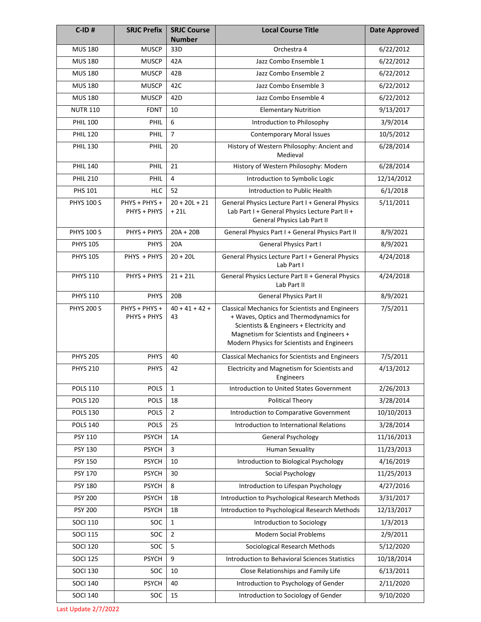| $C$ -ID#          | <b>SRJC Prefix</b>           | <b>SRJC Course</b><br><b>Number</b> | <b>Local Course Title</b>                                                                                                                                                                                                                | <b>Date Approved</b> |
|-------------------|------------------------------|-------------------------------------|------------------------------------------------------------------------------------------------------------------------------------------------------------------------------------------------------------------------------------------|----------------------|
| <b>MUS 180</b>    | <b>MUSCP</b>                 | 33D                                 | Orchestra 4                                                                                                                                                                                                                              | 6/22/2012            |
| <b>MUS 180</b>    | <b>MUSCP</b>                 | 42A                                 | Jazz Combo Ensemble 1                                                                                                                                                                                                                    | 6/22/2012            |
| <b>MUS 180</b>    | <b>MUSCP</b>                 | 42B                                 | Jazz Combo Ensemble 2                                                                                                                                                                                                                    | 6/22/2012            |
| <b>MUS 180</b>    | <b>MUSCP</b>                 | 42C                                 | Jazz Combo Ensemble 3                                                                                                                                                                                                                    | 6/22/2012            |
| <b>MUS 180</b>    | <b>MUSCP</b>                 | 42D                                 | Jazz Combo Ensemble 4                                                                                                                                                                                                                    | 6/22/2012            |
| <b>NUTR 110</b>   | <b>FDNT</b>                  | 10                                  | <b>Elementary Nutrition</b>                                                                                                                                                                                                              | 9/13/2017            |
| <b>PHIL 100</b>   | PHIL                         | 6                                   | Introduction to Philosophy                                                                                                                                                                                                               | 3/9/2014             |
| <b>PHIL 120</b>   | PHIL                         | $\overline{7}$                      | <b>Contemporary Moral Issues</b>                                                                                                                                                                                                         | 10/5/2012            |
| <b>PHIL 130</b>   | PHIL                         | 20                                  | History of Western Philosophy: Ancient and<br>Medieval                                                                                                                                                                                   | 6/28/2014            |
| <b>PHIL 140</b>   | PHIL                         | 21                                  | History of Western Philosophy: Modern                                                                                                                                                                                                    | 6/28/2014            |
| <b>PHIL 210</b>   | <b>PHIL</b>                  | $\overline{4}$                      | Introduction to Symbolic Logic                                                                                                                                                                                                           | 12/14/2012           |
| PHS 101           | <b>HLC</b>                   | 52                                  | Introduction to Public Health                                                                                                                                                                                                            | 6/1/2018             |
| <b>PHYS 100 S</b> | PHYS + PHYS +<br>PHYS + PHYS | $20 + 20L + 21$<br>$+21L$           | General Physics Lecture Part I + General Physics<br>Lab Part I + General Physics Lecture Part II +<br>General Physics Lab Part II                                                                                                        | 5/11/2011            |
| <b>PHYS 100 S</b> | PHYS + PHYS                  | $20A + 20B$                         | General Physics Part I + General Physics Part II                                                                                                                                                                                         | 8/9/2021             |
| <b>PHYS 105</b>   | <b>PHYS</b>                  | 20A                                 | General Physics Part I                                                                                                                                                                                                                   | 8/9/2021             |
| <b>PHYS 105</b>   | PHYS + PHYS                  | $20 + 20L$                          | General Physics Lecture Part I + General Physics<br>Lab Part I                                                                                                                                                                           | 4/24/2018            |
| <b>PHYS 110</b>   | PHYS + PHYS                  | $21 + 21L$                          | General Physics Lecture Part II + General Physics<br>Lab Part II                                                                                                                                                                         | 4/24/2018            |
| <b>PHYS 110</b>   | <b>PHYS</b>                  | 20B                                 | <b>General Physics Part II</b>                                                                                                                                                                                                           | 8/9/2021             |
| <b>PHYS 200 S</b> | PHYS + PHYS +<br>PHYS + PHYS | $40 + 41 + 42 +$<br>43              | <b>Classical Mechanics for Scientists and Engineers</b><br>+ Waves, Optics and Thermodynamics for<br>Scientists & Engineers + Electricity and<br>Magnetism for Scientists and Engineers +<br>Modern Physics for Scientists and Engineers | 7/5/2011             |
| <b>PHYS 205</b>   | <b>PHYS</b>                  | 40                                  | <b>Classical Mechanics for Scientists and Engineers</b>                                                                                                                                                                                  | 7/5/2011             |
| <b>PHYS 210</b>   | <b>PHYS</b>                  | 42                                  | Electricity and Magnetism for Scientists and<br>Engineers                                                                                                                                                                                | 4/13/2012            |
| <b>POLS 110</b>   | <b>POLS</b>                  | $\mathbf{1}$                        | Introduction to United States Government                                                                                                                                                                                                 | 2/26/2013            |
| <b>POLS 120</b>   | POLS                         | 18                                  | <b>Political Theory</b>                                                                                                                                                                                                                  | 3/28/2014            |
| <b>POLS 130</b>   | <b>POLS</b>                  | $\overline{2}$                      | Introduction to Comparative Government                                                                                                                                                                                                   | 10/10/2013           |
| <b>POLS 140</b>   | POLS                         | 25                                  | Introduction to International Relations                                                                                                                                                                                                  | 3/28/2014            |
| PSY 110           | <b>PSYCH</b>                 | 1A                                  | General Psychology                                                                                                                                                                                                                       | 11/16/2013           |
| PSY 130           | <b>PSYCH</b>                 | 3                                   | <b>Human Sexuality</b>                                                                                                                                                                                                                   | 11/23/2013           |
| PSY 150           | <b>PSYCH</b>                 | 10                                  | Introduction to Biological Psychology                                                                                                                                                                                                    | 4/16/2019            |
| PSY 170           | <b>PSYCH</b>                 | 30                                  | Social Psychology                                                                                                                                                                                                                        | 11/25/2013           |
| <b>PSY 180</b>    | <b>PSYCH</b>                 | 8                                   | Introduction to Lifespan Psychology                                                                                                                                                                                                      | 4/27/2016            |
| <b>PSY 200</b>    | <b>PSYCH</b>                 | 1B                                  | Introduction to Psychological Research Methods                                                                                                                                                                                           | 3/31/2017            |
| <b>PSY 200</b>    | <b>PSYCH</b>                 | 1B                                  | Introduction to Psychological Research Methods                                                                                                                                                                                           | 12/13/2017           |
| <b>SOCI 110</b>   | SOC                          | $\mathbf{1}$                        | Introduction to Sociology                                                                                                                                                                                                                | 1/3/2013             |
| <b>SOCI 115</b>   | SOC                          | $\overline{2}$                      | <b>Modern Social Problems</b>                                                                                                                                                                                                            | 2/9/2011             |
| <b>SOCI 120</b>   | SOC                          | 5                                   | Sociological Research Methods                                                                                                                                                                                                            | 5/12/2020            |
| <b>SOCI 125</b>   | <b>PSYCH</b>                 | 9                                   | <b>Introduction to Behavioral Sciences Statistics</b>                                                                                                                                                                                    | 10/18/2014           |
| <b>SOCI 130</b>   | SOC                          | 10                                  | Close Relationships and Family Life                                                                                                                                                                                                      | 6/13/2011            |
| <b>SOCI 140</b>   | <b>PSYCH</b>                 | 40                                  | Introduction to Psychology of Gender                                                                                                                                                                                                     | 2/11/2020            |
| <b>SOCI 140</b>   | SOC                          | 15                                  | Introduction to Sociology of Gender                                                                                                                                                                                                      | 9/10/2020            |

Last Update 2/7/2022